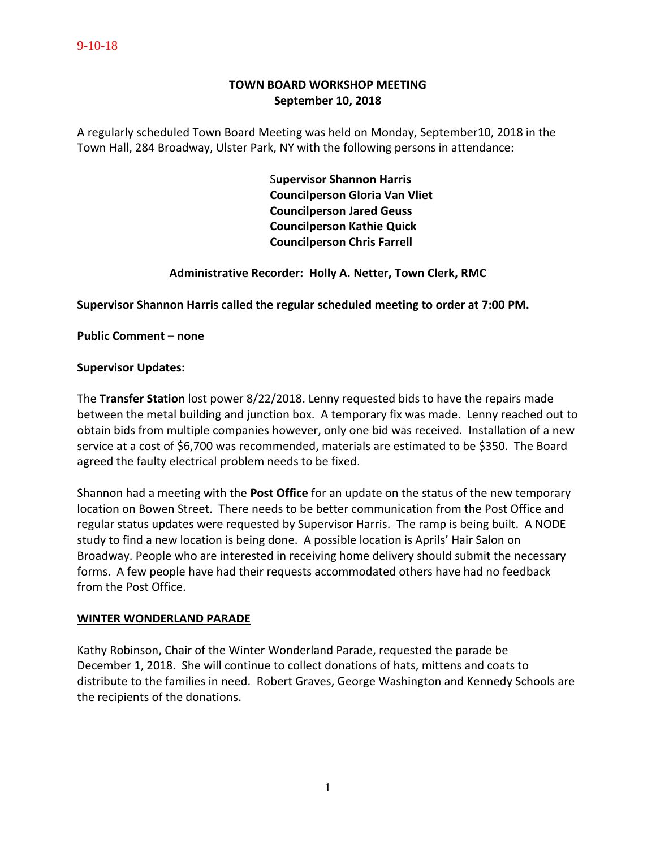### 9-10-18

# **TOWN BOARD WORKSHOP MEETING September 10, 2018**

A regularly scheduled Town Board Meeting was held on Monday, September10, 2018 in the Town Hall, 284 Broadway, Ulster Park, NY with the following persons in attendance:

> S**upervisor Shannon Harris Councilperson Gloria Van Vliet Councilperson Jared Geuss Councilperson Kathie Quick Councilperson Chris Farrell**

## **Administrative Recorder: Holly A. Netter, Town Clerk, RMC**

### **Supervisor Shannon Harris called the regular scheduled meeting to order at 7:00 PM.**

**Public Comment – none**

#### **Supervisor Updates:**

The **Transfer Station** lost power 8/22/2018. Lenny requested bids to have the repairs made between the metal building and junction box. A temporary fix was made. Lenny reached out to obtain bids from multiple companies however, only one bid was received. Installation of a new service at a cost of \$6,700 was recommended, materials are estimated to be \$350. The Board agreed the faulty electrical problem needs to be fixed.

Shannon had a meeting with the **Post Office** for an update on the status of the new temporary location on Bowen Street. There needs to be better communication from the Post Office and regular status updates were requested by Supervisor Harris. The ramp is being built. A NODE study to find a new location is being done. A possible location is Aprils' Hair Salon on Broadway. People who are interested in receiving home delivery should submit the necessary forms. A few people have had their requests accommodated others have had no feedback from the Post Office.

### **WINTER WONDERLAND PARADE**

Kathy Robinson, Chair of the Winter Wonderland Parade, requested the parade be December 1, 2018. She will continue to collect donations of hats, mittens and coats to distribute to the families in need. Robert Graves, George Washington and Kennedy Schools are the recipients of the donations.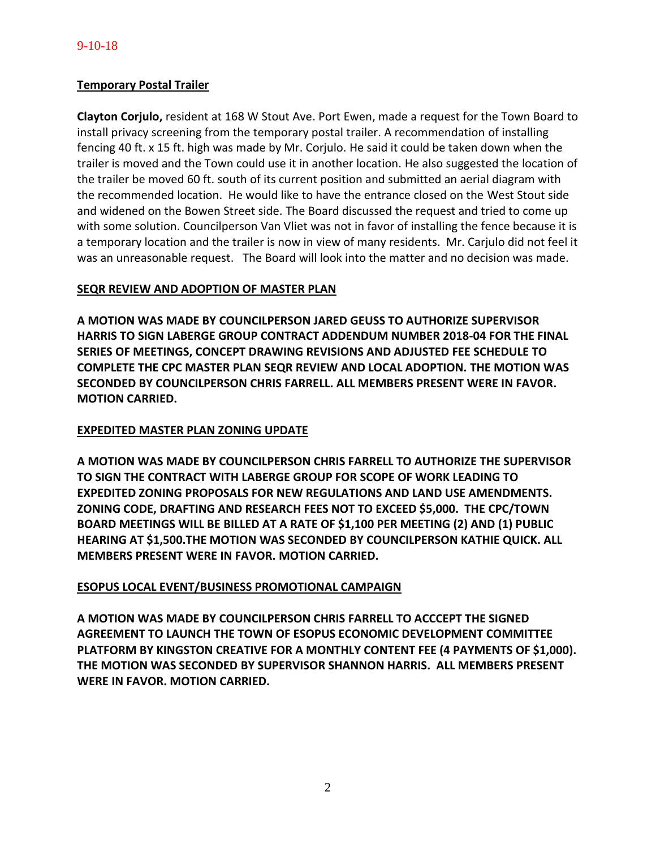## **Temporary Postal Trailer**

**Clayton Corjulo,** resident at 168 W Stout Ave. Port Ewen, made a request for the Town Board to install privacy screening from the temporary postal trailer. A recommendation of installing fencing 40 ft. x 15 ft. high was made by Mr. Corjulo. He said it could be taken down when the trailer is moved and the Town could use it in another location. He also suggested the location of the trailer be moved 60 ft. south of its current position and submitted an aerial diagram with the recommended location. He would like to have the entrance closed on the West Stout side and widened on the Bowen Street side. The Board discussed the request and tried to come up with some solution. Councilperson Van Vliet was not in favor of installing the fence because it is a temporary location and the trailer is now in view of many residents. Mr. Carjulo did not feel it was an unreasonable request. The Board will look into the matter and no decision was made.

## **SEQR REVIEW AND ADOPTION OF MASTER PLAN**

**A MOTION WAS MADE BY COUNCILPERSON JARED GEUSS TO AUTHORIZE SUPERVISOR HARRIS TO SIGN LABERGE GROUP CONTRACT ADDENDUM NUMBER 2018-04 FOR THE FINAL SERIES OF MEETINGS, CONCEPT DRAWING REVISIONS AND ADJUSTED FEE SCHEDULE TO COMPLETE THE CPC MASTER PLAN SEQR REVIEW AND LOCAL ADOPTION. THE MOTION WAS SECONDED BY COUNCILPERSON CHRIS FARRELL. ALL MEMBERS PRESENT WERE IN FAVOR. MOTION CARRIED.**

## **EXPEDITED MASTER PLAN ZONING UPDATE**

**A MOTION WAS MADE BY COUNCILPERSON CHRIS FARRELL TO AUTHORIZE THE SUPERVISOR TO SIGN THE CONTRACT WITH LABERGE GROUP FOR SCOPE OF WORK LEADING TO EXPEDITED ZONING PROPOSALS FOR NEW REGULATIONS AND LAND USE AMENDMENTS. ZONING CODE, DRAFTING AND RESEARCH FEES NOT TO EXCEED \$5,000. THE CPC/TOWN BOARD MEETINGS WILL BE BILLED AT A RATE OF \$1,100 PER MEETING (2) AND (1) PUBLIC HEARING AT \$1,500.THE MOTION WAS SECONDED BY COUNCILPERSON KATHIE QUICK. ALL MEMBERS PRESENT WERE IN FAVOR. MOTION CARRIED.** 

### **ESOPUS LOCAL EVENT/BUSINESS PROMOTIONAL CAMPAIGN**

**A MOTION WAS MADE BY COUNCILPERSON CHRIS FARRELL TO ACCCEPT THE SIGNED AGREEMENT TO LAUNCH THE TOWN OF ESOPUS ECONOMIC DEVELOPMENT COMMITTEE PLATFORM BY KINGSTON CREATIVE FOR A MONTHLY CONTENT FEE (4 PAYMENTS OF \$1,000). THE MOTION WAS SECONDED BY SUPERVISOR SHANNON HARRIS. ALL MEMBERS PRESENT WERE IN FAVOR. MOTION CARRIED.**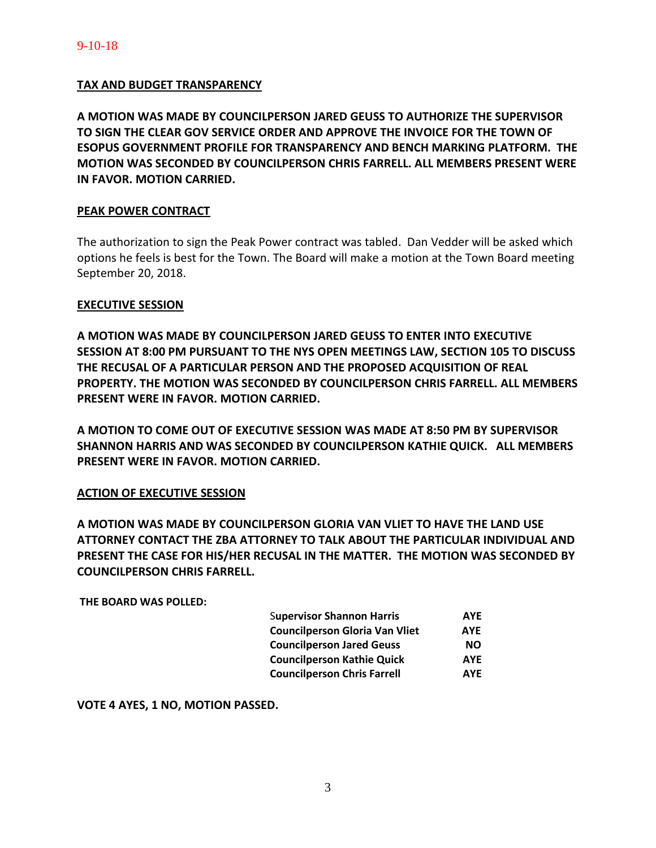## **TAX AND BUDGET TRANSPARENCY**

**A MOTION WAS MADE BY COUNCILPERSON JARED GEUSS TO AUTHORIZE THE SUPERVISOR TO SIGN THE CLEAR GOV SERVICE ORDER AND APPROVE THE INVOICE FOR THE TOWN OF ESOPUS GOVERNMENT PROFILE FOR TRANSPARENCY AND BENCH MARKING PLATFORM. THE MOTION WAS SECONDED BY COUNCILPERSON CHRIS FARRELL. ALL MEMBERS PRESENT WERE IN FAVOR. MOTION CARRIED.** 

### **PEAK POWER CONTRACT**

The authorization to sign the Peak Power contract was tabled. Dan Vedder will be asked which options he feels is best for the Town. The Board will make a motion at the Town Board meeting September 20, 2018.

### **EXECUTIVE SESSION**

**A MOTION WAS MADE BY COUNCILPERSON JARED GEUSS TO ENTER INTO EXECUTIVE SESSION AT 8:00 PM PURSUANT TO THE NYS OPEN MEETINGS LAW, SECTION 105 TO DISCUSS THE RECUSAL OF A PARTICULAR PERSON AND THE PROPOSED ACQUISITION OF REAL PROPERTY. THE MOTION WAS SECONDED BY COUNCILPERSON CHRIS FARRELL. ALL MEMBERS PRESENT WERE IN FAVOR. MOTION CARRIED.** 

**A MOTION TO COME OUT OF EXECUTIVE SESSION WAS MADE AT 8:50 PM BY SUPERVISOR SHANNON HARRIS AND WAS SECONDED BY COUNCILPERSON KATHIE QUICK. ALL MEMBERS PRESENT WERE IN FAVOR. MOTION CARRIED.** 

### **ACTION OF EXECUTIVE SESSION**

**A MOTION WAS MADE BY COUNCILPERSON GLORIA VAN VLIET TO HAVE THE LAND USE ATTORNEY CONTACT THE ZBA ATTORNEY TO TALK ABOUT THE PARTICULAR INDIVIDUAL AND PRESENT THE CASE FOR HIS/HER RECUSAL IN THE MATTER. THE MOTION WAS SECONDED BY COUNCILPERSON CHRIS FARRELL.**

**THE BOARD WAS POLLED:** 

| <b>Supervisor Shannon Harris</b>      | <b>AYE</b> |
|---------------------------------------|------------|
| <b>Councilperson Gloria Van Vliet</b> | <b>AYE</b> |
| <b>Councilperson Jared Geuss</b>      | NΟ         |
| <b>Councilperson Kathie Quick</b>     | <b>AYE</b> |
| <b>Councilperson Chris Farrell</b>    | <b>AYF</b> |

**VOTE 4 AYES, 1 NO, MOTION PASSED.**